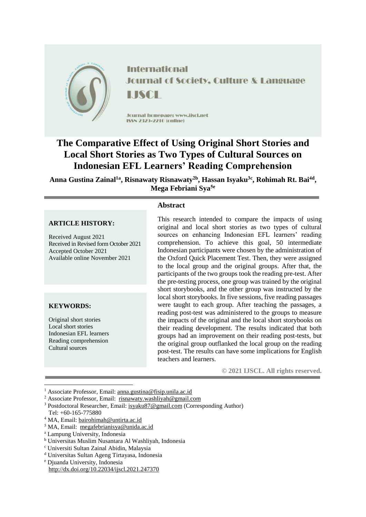

**International Journal of Society, Culture & Language** 

Jcurnal homepage: www.jiscl.net ISSN 2323-2210 (cnline)

# **The Comparative Effect of Using Original Short Stories and Local Short Stories as Two Types of Cultural Sources on Indonesian EFL Learners' Reading Comprehension**

**Anna Gustina Zainal1a , Risnawaty Risnawaty2b , Hassan Isyaku3c , Rohimah Rt. Bai4d , Mega Febriani Sya5e**

## **Abstract**

## **ARTICLE HISTORY:**

Received August 2021 Received in Revised form October 2021 Accepted October 2021 Available online November 2021

## **KEYWORDS:**

1

Original short stories Local short stories Indonesian EFL learners Reading comprehension Cultural sources

This research intended to compare the impacts of using original and local short stories as two types of cultural sources on enhancing Indonesian EFL learners' reading comprehension. To achieve this goal, 50 intermediate Indonesian participants were chosen by the administration of the Oxford Quick Placement Test. Then, they were assigned to the local group and the original groups. After that, the participants of the two groups took the reading pre-test. After the pre-testing process, one group was trained by the original short storybooks, and the other group was instructed by the local short storybooks. In five sessions, five reading passages were taught to each group. After teaching the passages, a reading post-test was administered to the groups to measure the impacts of the original and the local short storybooks on their reading development. The results indicated that both groups had an improvement on their reading post-tests, but the original group outflanked the local group on the reading post-test. The results can have some implications for English teachers and learners.

**© 2021 IJSCL. All rights reserved.**

<sup>1</sup> Associate Professor, Email: [anna.gustina@fisip.unila.ac.id](mailto:anna.gustina@fisip.unila.ac.id)

<sup>2</sup> Associate Professor, Email: [risnawaty.washliyah@gmail.com](mailto:risnawaty.washliyah@gmail.com)

<sup>&</sup>lt;sup>3</sup> Postdoctoral Researcher, Email: [isyaku87@gmail.com](mailto:isyaku87@gmail.com) (Corresponding Author) Tel: +60-165-775880

<sup>4</sup> MA, Email: [bairohimah@untirta.ac.id](mailto:bairohimah@untirta.ac.id)

<sup>5</sup> MA, Email: [megafebrianisya@unida.ac.id](mailto:megafebrianisya@unida.ac.id)

<sup>a</sup> Lampung University, Indonesia

<sup>b</sup> Universitas Muslim Nusantara Al Washliyah, Indonesia

<sup>c</sup> Universiti Sultan Zainal Abidin, Malaysia

<sup>d</sup> Universitas Sultan Ageng Tirtayasa, Indonesia

<sup>e</sup> Djuanda University, Indonesia http://dx.doi.org/10.22034/ijscl.2021.247370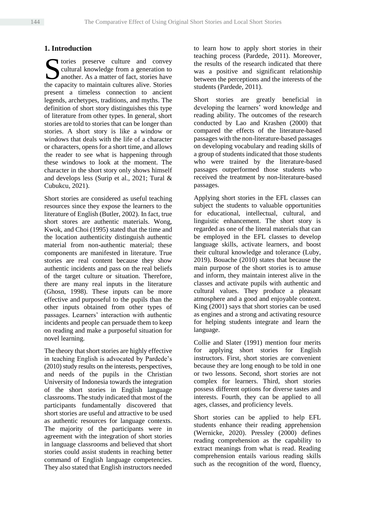## **1. Introduction**

Solution and convey<br>
Solution and the convergence of fact, stories have<br>
Solution and the convention cultures alive Stories<br>
Stories cultural knowledge from a generation to another. As a matter of fact, stories have the capacity to maintain cultures alive. Stories present a timeless connection to ancient legends, archetypes, traditions, and myths. The definition of short story distinguishes this type of literature from other types. In general, short stories are told to stories that can be longer than stories. A short story is like a window or windows that deals with the life of a character or characters, opens for a short time, and allows the reader to see what is happening through these windows to look at the moment. The character in the short story only shows himself and develops less (Surip et al., 2021; Tural & Cubukcu, 2021).

Short stories are considered as useful teaching resources since they expose the learners to the literature of English (Butler, 2002). In fact, true short stores are authentic materials. Wong, Kwok, and Choi (1995) stated that the time and the location authenticity distinguish authentic material from non-authentic material; these components are manifested in literature. True stories are real content because they show authentic incidents and pass on the real beliefs of the target culture or situation. Therefore, there are many real inputs in the literature (Ghosn, 1998). These inputs can be more effective and purposeful to the pupils than the other inputs obtained from other types of passages. Learners' interaction with authentic incidents and people can persuade them to keep on reading and make a purposeful situation for novel learning.

The theory that short stories are highly effective in teaching English is advocated by Pardede's (2010) study results on the interests, perspectives, and needs of the pupils in the Christian University of Indonesia towards the integration of the short stories in English language classrooms. The study indicated that most of the participants fundamentally discovered that short stories are useful and attractive to be used as authentic resources for language contexts. The majority of the participants were in agreement with the integration of short stories in language classrooms and believed that short stories could assist students in reaching better command of English language competencies. They also stated that English instructors needed to learn how to apply short stories in their teaching process (Pardede, 2011). Moreover, the results of the research indicated that there was a positive and significant relationship between the perceptions and the interests of the students (Pardede, 2011).

Short stories are greatly beneficial in developing the learners' word knowledge and reading ability. The outcomes of the research conducted by Lao and Krashen (2000) that compared the effects of the literature-based passages with the non-literature-based passages on developing vocabulary and reading skills of a group of students indicated that those students who were trained by the literature-based passages outperformed those students who received the treatment by non-literature-based passages.

Applying short stories in the EFL classes can subject the students to valuable opportunities for educational, intellectual, cultural, and linguistic enhancement. The short story is regarded as one of the literal materials that can be employed in the EFL classes to develop language skills, activate learners, and boost their cultural knowledge and tolerance (Luby, 2019). Bouache (2010) states that because the main purpose of the short stories is to amuse and inform, they maintain interest alive in the classes and activate pupils with authentic and cultural values. They produce a pleasant atmosphere and a good and enjoyable context. King (2001) says that short stories can be used as engines and a strong and activating resource for helping students integrate and learn the language.

Collie and Slater (1991) mention four merits for applying short stories for English instructors. First, short stories are convenient because they are long enough to be told in one or two lessons. Second, short stories are not complex for learners. Third, short stories possess different options for diverse tastes and interests. Fourth, they can be applied to all ages, classes, and proficiency levels.

Short stories can be applied to help EFL students enhance their reading apprehension (Wernicke, 2020). Pressley (2000) defines reading comprehension as the capability to extract meanings from what is read. Reading comprehension entails various reading skills such as the recognition of the word, fluency,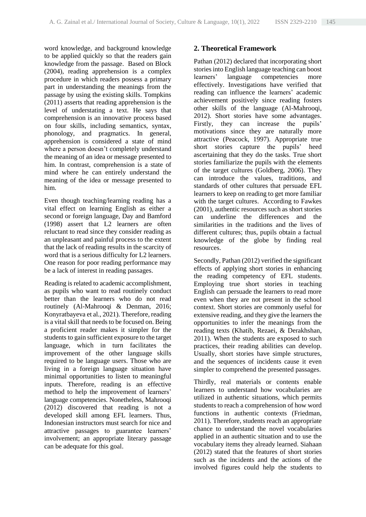word knowledge, and background knowledge to be applied quickly so that the readers gain knowledge from the passage. Based on Block (2004), reading apprehension is a complex procedure in which readers possess a primary part in understanding the meanings from the passage by using the existing skills. Tompkins (2011) asserts that reading apprehension is the level of understating a text. He says that comprehension is an innovative process based on four skills, including semantics, syntax, phonology, and pragmatics. In general, apprehension is considered a state of mind where a person doesn't completely understand the meaning of an idea or message presented to him. In contrast, comprehension is a state of mind where he can entirely understand the meaning of the idea or message presented to him.

Even though teaching/learning reading has a vital effect on learning English as either a second or foreign language, Day and Bamford (1998) assert that L2 learners are often reluctant to read since they consider reading as an unpleasant and painful process to the extent that the lack of reading results in the scarcity of word that is a serious difficulty for L2 learners. One reason for poor reading performance may be a lack of interest in reading passages.

Reading is related to academic accomplishment, as pupils who want to read routinely conduct better than the learners who do not read routinely (Al-Mahrooqi & Denman, 2016; Konyratbayeva et al., 2021). Therefore, reading is a vital skill that needs to be focused on. Being a proficient reader makes it simpler for the students to gain sufficient exposure to the target language, which in turn facilitates the improvement of the other language skills required to be language users. Those who are living in a foreign language situation have minimal opportunities to listen to meaningful inputs. Therefore, reading is an effective method to help the improvement of learners' language competencies. Nonetheless, Mahrooqi (2012) discovered that reading is not a developed skill among EFL learners. Thus, Indonesian instructors must search for nice and attractive passages to guarantee learners' involvement; an appropriate literary passage can be adequate for this goal.

## **2. Theoretical Framework**

Pathan (2012) declared that incorporating short stories into English language teaching can boost learners' language competencies more effectively. Investigations have verified that reading can influence the learners' academic achievement positively since reading fosters other skills of the language (Al-Mahrooqi, 2012). Short stories have some advantages. Firstly, they can increase the pupils' motivations since they are naturally more attractive (Peacock, 1997). Appropriate true short stories capture the pupils' heed ascertaining that they do the tasks. True short stories familiarize the pupils with the elements of the target cultures (Goldberg, 2006). They can introduce the values, traditions, and standards of other cultures that persuade EFL learners to keep on reading to get more familiar with the target cultures. According to Fawkes (2001), authentic resources such as short stories can underline the differences and the similarities in the traditions and the lives of different cultures; thus, pupils obtain a factual knowledge of the globe by finding real resources.

Secondly, Pathan (2012) verified the significant effects of applying short stories in enhancing the reading competency of EFL students. Employing true short stories in teaching English can persuade the learners to read more even when they are not present in the school context. Short stories are commonly useful for extensive reading, and they give the learners the opportunities to infer the meanings from the reading texts (Khatib, Rezaei, & Derakhshan, 2011). When the students are exposed to such practices, their reading abilities can develop. Usually, short stories have simple structures, and the sequences of incidents cause it even simpler to comprehend the presented passages.

Thirdly, real materials or contents enable learners to understand how vocabularies are utilized in authentic situations, which permits students to reach a comprehension of how word functions in authentic contexts (Friedman, 2011). Therefore, students reach an appropriate chance to understand the novel vocabularies applied in an authentic situation and to use the vocabulary items they already learned. Siahaan (2012) stated that the features of short stories such as the incidents and the actions of the involved figures could help the students to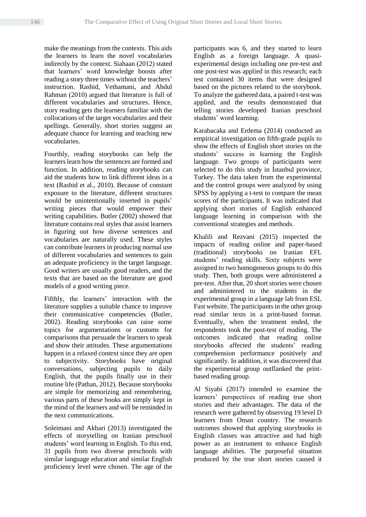make the meanings from the contexts. This aids the learners to learn the novel vocabularies indirectly by the context. Siahaan (2012) stated that learners' word knowledge boosts after reading a story three times without the teachers' instruction. Rashid, Vethamani, and Abdul Rahman (2010) argued that literature is full of different vocabularies and structures. Hence, story reading gets the learners familiar with the collocations of the target vocabularies and their spellings. Generally, short stories suggest an adequate chance for learning and teaching new vocabularies.

Fourthly, reading storybooks can help the learners learn how the sentences are formed and function. In addition, reading storybooks can aid the students how to link different ideas in a text (Rashid et al., 2010). Because of constant exposure to the literature, different structures would be unintentionally inserted in pupils' writing pieces that would empower their writing capabilities. Butler (2002) showed that literature contains real styles that assist learners in figuring out how diverse sentences and vocabularies are naturally used. These styles can contribute learners in producing normal use of different vocabularies and sentences to gain an adequate proficiency in the target language. Good writers are usually good readers, and the texts that are based on the literature are good models of a good writing piece.

Fifthly, the learners' interaction with the literature supplies a suitable chance to improve their communicative competencies (Butler, 2002). Reading storybooks can raise some topics for argumentations or customs for comparisons that persuade the learners to speak and show their attitudes. These argumentations happen in a relaxed context since they are open to subjectivity. Storybooks have original conversations, subjecting pupils to daily English, that the pupils finally use in their routine life (Pathan, 2012). Because storybooks are simple for memorizing and remembering, various parts of these books are simply kept in the mind of the learners and will be reminded in the next communications.

Soleimani and Akbari (2013) investigated the effects of storytelling on Iranian preschool students' word learning in English. To this end, 31 pupils from two diverse preschools with similar language education and similar English proficiency level were chosen. The age of the participants was 6, and they started to learn English as a foreign language. A quasiexperimental design including one pre-test and one post-test was applied in this research; each test contained 30 items that were designed based on the pictures related to the storybook. To analyze the gathered data, a paired t-test was applied, and the results demonstrated that telling stories developed Iranian preschool students' word learning.

Karabacaka and Erdema (2014) conducted an empirical investigation on fifth-grade pupils to show the effects of English short stories on the students' success in learning the English language. Two groups of participants were selected to do this study in İstanbul province, Turkey. The data taken from the experimental and the control groups were analyzed by using SPSS by applying a t-test to compare the mean scores of the participants. It was indicated that applying short stories of English enhanced language learning in comparison with the conventional strategies and methods.

Khalili and Rezvani (2015) inspected the impacts of reading online and paper-based (traditional) storybooks on Iranian EFL students' reading skills. Sixty subjects were assigned to two homogeneous groups to do this study. Then, both groups were administered a pre-test. After that, 20 short stories were chosen and administered to the students in the experimental group in a language lab from ESL Fast website. The participants in the other group read similar texts in a print-based format. Eventually, when the treatment ended, the respondents took the post-test of reading. The outcomes indicated that reading online storybooks affected the students' reading comprehension performance positively and significantly. In addition, it was discovered that the experimental group outflanked the printbased reading group.

Al Siyabi (2017) intended to examine the learners' perspectives of reading true short stories and their advantages. The data of the research were gathered by observing 19 level D learners from Oman country. The research outcomes showed that applying storybooks in English classes was attractive and had high power as an instrument to enhance English language abilities. The purposeful situation produced by the true short stories caused it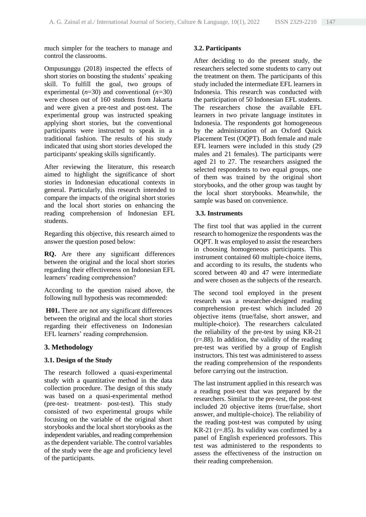much simpler for the teachers to manage and control the classrooms.

Ompusunggu (2018) inspected the effects of short stories on boosting the students' speaking skill. To fulfill the goal, two groups of experimental (*n*=30) and conventional (*n=*30) were chosen out of 160 students from Jakarta and were given a pre-test and post-test. The experimental group was instructed speaking applying short stories, but the conventional participants were instructed to speak in a traditional fashion. The results of his study indicated that using short stories developed the participants' speaking skills significantly.

After reviewing the literature, this research aimed to highlight the significance of short stories in Indonesian educational contexts in general. Particularly, this research intended to compare the impacts of the original short stories and the local short stories on enhancing the reading comprehension of Indonesian EFL students.

Regarding this objective, this research aimed to answer the question posed below:

**RQ.** Are there any significant differences between the original and the local short stories regarding their effectiveness on Indonesian EFL learners' reading comprehension?

According to the question raised above, the following null hypothesis was recommended:

**H01.** There are not any significant differences between the original and the local short stories regarding their effectiveness on Indonesian EFL learners' reading comprehension.

## **3. Methodology**

## **3.1. Design of the Study**

The research followed a quasi-experimental study with a quantitative method in the data collection procedure. The design of this study was based on a quasi-experimental method (pre-test- treatment- post-test). This study consisted of two experimental groups while focusing on the variable of the original short storybooks and the local short storybooks as the independent variables, and reading comprehension as the dependent variable. The control variables of the study were the age and proficiency level of the participants.

### **3.2. Participants**

After deciding to do the present study, the researchers selected some students to carry out the treatment on them. The participants of this study included the intermediate EFL learners in Indonesia. This research was conducted with the participation of 50 Indonesian EFL students. The researchers chose the available EFL learners in two private language institutes in Indonesia. The respondents got homogeneous by the administration of an Oxford Quick Placement Test (OQPT). Both female and male EFL learners were included in this study (29 males and 21 females). The participants were aged 21 to 27. The researchers assigned the selected respondents to two equal groups, one of them was trained by the original short storybooks, and the other group was taught by the local short storybooks. Meanwhile, the sample was based on convenience.

## **3.3. Instruments**

The first tool that was applied in the current research to homogenize the respondents was the OQPT. It was employed to assist the researchers in choosing homogeneous participants. This instrument contained 60 multiple-choice items, and according to its results, the students who scored between 40 and 47 were intermediate and were chosen as the subjects of the research.

The second tool employed in the present research was a researcher-designed reading comprehension pre-test which included 20 objective items (true/false, short answer, and multiple-choice). The researchers calculated the reliability of the pre-test by using KR-21  $(r=.88)$ . In addition, the validity of the reading pre-test was verified by a group of English instructors. This test was administered to assess the reading comprehension of the respondents before carrying out the instruction.

The last instrument applied in this research was a reading post-test that was prepared by the researchers. Similar to the pre-test, the post-test included 20 objective items (true/false, short answer, and multiple-choice). The reliability of the reading post-test was computed by using KR-21 ( $r = .85$ ). Its validity was confirmed by a panel of English experienced professors. This test was administered to the respondents to assess the effectiveness of the instruction on their reading comprehension.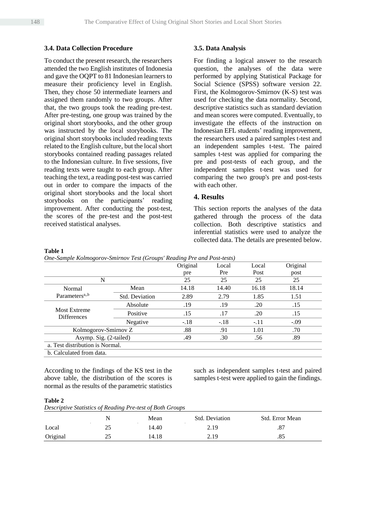#### **3.4. Data Collection Procedure**

To conduct the present research, the researchers attended the two English institutes of Indonesia and gave the OQPT to 81 Indonesian learners to measure their proficiency level in English. Then, they chose 50 intermediate learners and assigned them randomly to two groups. After that, the two groups took the reading pre-test. After pre-testing, one group was trained by the original short storybooks, and the other group was instructed by the local storybooks. The original short storybooks included reading texts related to the English culture, but the local short storybooks contained reading passages related to the Indonesian culture. In five sessions, five reading texts were taught to each group. After teaching the text, a reading post-test was carried out in order to compare the impacts of the original short storybooks and the local short storybooks on the participants' reading improvement. After conducting the post-test, the scores of the pre-test and the post-test received statistical analyses.

#### **3.5. Data Analysis**

For finding a logical answer to the research question, the analyses of the data were performed by applying Statistical Package for Social Science (SPSS) software version 22. First, the Kolmogorov-Smirnov (K-S) test was used for checking the data normality. Second, descriptive statistics such as standard deviation and mean scores were computed. Eventually, to investigate the effects of the instruction on Indonesian EFL students' reading improvement, the researchers used a paired samples t-test and an independent samples t-test. The paired samples t-test was applied for comparing the pre and post-tests of each group, and the independent samples t-test was used for comparing the two group's pre and post-tests with each other.

### **4. Results**

This section reports the analyses of the data gathered through the process of the data collection. Both descriptive statistics and inferential statistics were used to analyze the collected data. The details are presented below.

#### **Table 1**

*One-Sample Kolmogorov-Smirnov Test (Groups' Reading Pre and Post-tests)*

| $\cdot$                                   | $\mathbf{I}$          | $\cdot$  |        |        |          |  |
|-------------------------------------------|-----------------------|----------|--------|--------|----------|--|
|                                           |                       | Original | Local  | Local  | Original |  |
|                                           |                       | pre      | Pre    | Post   | post     |  |
| N                                         |                       | 25       | 25     | 25     | 25       |  |
| Normal                                    | Mean                  | 14.18    | 14.40  | 16.18  | 18.14    |  |
| Parameters <sup>a<sub>,,b</sub></sup>     | <b>Std. Deviation</b> | 2.89     | 2.79   | 1.85   | 1.51     |  |
| <b>Most Extreme</b><br><b>Differences</b> | Absolute              | .19      | .19    | .20    | .15      |  |
|                                           | Positive              | .15      | .17    | .20    | .15      |  |
|                                           | Negative              | $-.18$   | $-.18$ | $-.11$ | $-.09$   |  |
| Kolmogorov-Smirnov Z                      |                       | .88      | .91    | 1.01   | .70      |  |
| Asymp. Sig. (2-tailed)                    |                       | .49      | .30    | .56    | .89      |  |
| a. Test distribution is Normal.           |                       |          |        |        |          |  |
| b. Calculated from data.                  |                       |          |        |        |          |  |

According to the findings of the KS test in the above table, the distribution of the scores is normal as the results of the parametric statistics

such as independent samples t-test and paired samples t-test were applied to gain the findings.

#### **Table 2**

*Descriptive Statistics of Reading Pre-test of Both Groups*

|          |   | Mean  | Std. Deviation | Std. Error Mean |
|----------|---|-------|----------------|-----------------|
| Local    | ∼ | 14.40 | 2.19           | .87             |
| Original | ت | 14.18 | 2.19           | .85             |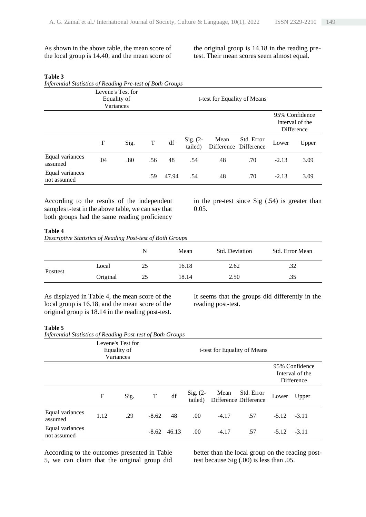As shown in the above table, the mean score of the local group is 14.40, and the mean score of the original group is 14.18 in the reading pretest. Their mean scores seem almost equal.

#### **Table 3**

*Inferential Statistics of Reading Pre-test of Both Groups*

|                                | Levene's Test for<br>Equality of<br>Variances |      |     |       |                       | t-test for Equality of Means |                                     |         |                                                 |
|--------------------------------|-----------------------------------------------|------|-----|-------|-----------------------|------------------------------|-------------------------------------|---------|-------------------------------------------------|
|                                |                                               |      |     |       |                       |                              |                                     |         | 95% Confidence<br>Interval of the<br>Difference |
|                                | F                                             | Sig. | T   | df    | $Sig. (2-$<br>tailed) | Mean                         | Std. Error<br>Difference Difference | Lower   | Upper                                           |
| Equal variances<br>assumed     | .04                                           | .80  | .56 | 48    | .54                   | .48                          | .70                                 | $-2.13$ | 3.09                                            |
| Equal variances<br>not assumed |                                               |      | .59 | 47.94 | .54                   | .48                          | .70                                 | $-2.13$ | 3.09                                            |

According to the results of the independent samples t-test in the above table, we can say that both groups had the same reading proficiency

in the pre-test since Sig (.54) is greater than 0.05.

#### **Table 4**

*Descriptive Statistics of Reading Post-test of Both Groups*

|          |          | N  | Mean  | Std. Deviation | Std. Error Mean |
|----------|----------|----|-------|----------------|-----------------|
| Posttest | Local    | 25 | 16.18 | 2.62           | .32             |
|          | Original | 25 | 18.14 | 2.50           | .35             |

As displayed in Table 4, the mean score of the local group is 16.18, and the mean score of the original group is 18.14 in the reading post-test.

It seems that the groups did differently in the reading post-test.

#### **Table 5**

*Inferential Statistics of Reading Post-test of Both Groups*

|                                | Levene's Test for<br>Equality of<br>Variances |      |         |       |                       | t-test for Equality of Means |                                     |                                                 |         |
|--------------------------------|-----------------------------------------------|------|---------|-------|-----------------------|------------------------------|-------------------------------------|-------------------------------------------------|---------|
|                                |                                               |      |         |       |                       |                              |                                     | 95% Confidence<br>Interval of the<br>Difference |         |
|                                | $\mathbf F$                                   | Sig. | T       | df    | $Sig. (2-$<br>tailed) | Mean                         | Std. Error<br>Difference Difference | Lower                                           | Upper   |
| Equal variances<br>assumed     | 1.12                                          | .29  | $-8.62$ | 48    | .00.                  | $-4.17$                      | .57                                 | $-5.12 - 3.11$                                  |         |
| Equal variances<br>not assumed |                                               |      | $-8.62$ | 46.13 | .00.                  | $-4.17$                      | .57                                 | $-5.12$                                         | $-3.11$ |

According to the outcomes presented in Table 5, we can claim that the original group did better than the local group on the reading posttest because Sig (.00) is less than .05.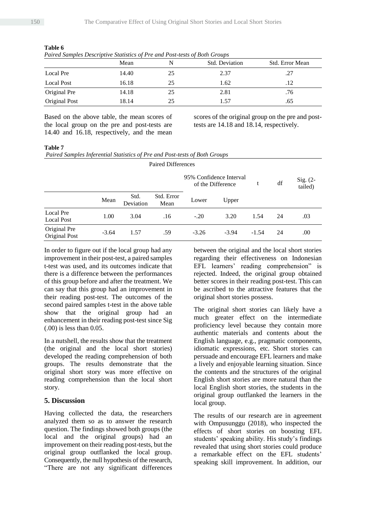|                   | Mean  |    | Std. Deviation | Std. Error Mean |
|-------------------|-------|----|----------------|-----------------|
| Local Pre         | 14.40 | 25 | 2.37           | .27             |
| <b>Local Post</b> | 16.18 | 25 | 1.62           | .12             |
| Original Pre      | 14.18 | 25 | 2.81           | .76             |
| Original Post     | 18.14 | 25 | 1.57           | .65             |

**Table 6** *Paired Samples Descriptive Statistics of Pre and Post-tests of Both Groups*

Based on the above table, the mean scores of the local group on the pre and post-tests are 14.40 and 16.18, respectively, and the mean scores of the original group on the pre and posttests are 14.18 and 18.14, respectively.

### **Table 7**

|  | Paired Samples Inferential Statistics of Pre and Post-tests of Both Groups |  |
|--|----------------------------------------------------------------------------|--|
|  |                                                                            |  |

| <b>Paired Differences</b>      |         |                   |                    |                                              |         |         |    |                       |
|--------------------------------|---------|-------------------|--------------------|----------------------------------------------|---------|---------|----|-----------------------|
|                                |         |                   |                    | 95% Confidence Interval<br>of the Difference |         | t       | df | Sig. $(2-$<br>tailed) |
|                                | Mean    | Std.<br>Deviation | Std. Error<br>Mean | Lower                                        | Upper   |         |    |                       |
| Local Pre<br><b>Local Post</b> | 1.00    | 3.04              | .16                | $-.20$                                       | 3.20    | 1.54    | 24 | .03                   |
| Original Pre<br>Original Post  | $-3.64$ | 1.57              | .59                | $-3.26$                                      | $-3.94$ | $-1.54$ | 24 | .00                   |

In order to figure out if the local group had any improvement in their post-test, a paired samples t-test was used, and its outcomes indicate that there is a difference between the performances of this group before and after the treatment. We can say that this group had an improvement in their reading post-test. The outcomes of the second paired samples t-test in the above table show that the original group had an enhancement in their reading post-test since Sig (.00) is less than 0.05.

In a nutshell, the results show that the treatment (the original and the local short stories) developed the reading comprehension of both groups. The results demonstrate that the original short story was more effective on reading comprehension than the local short story.

## **5. Discussion**

Having collected the data, the researchers analyzed them so as to answer the research question. The findings showed both groups (the local and the original groups) had an improvement on their reading post-tests, but the original group outflanked the local group. Consequently, the null hypothesis of the research, "There are not any significant differences between the original and the local short stories regarding their effectiveness on Indonesian EFL learners' reading comprehension" is rejected. Indeed, the original group obtained better scores in their reading post-test. This can be ascribed to the attractive features that the original short stories possess.

The original short stories can likely have a much greater effect on the intermediate proficiency level because they contain more authentic materials and contents about the English language, e.g., pragmatic components, idiomatic expressions, etc. Short stories can persuade and encourage EFL learners and make a lively and enjoyable learning situation. Since the contents and the structures of the original English short stories are more natural than the local English short stories, the students in the original group outflanked the learners in the local group.

The results of our research are in agreement with Ompusunggu (2018), who inspected the effects of short stories on boosting EFL students' speaking ability. His study's findings revealed that using short stories could produce a remarkable effect on the EFL students' speaking skill improvement. In addition, our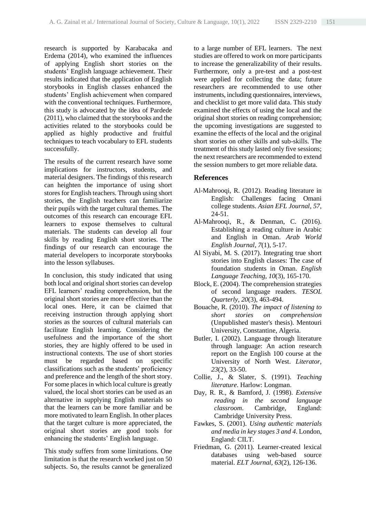research is supported by Karabacaka and Erdema (2014), who examined the influences of applying English short stories on the students' English language achievement. Their results indicated that the application of English storybooks in English classes enhanced the students' English achievement when compared with the conventional techniques. Furthermore, this study is advocated by the idea of Pardede (2011), who claimed that the storybooks and the activities related to the storybooks could be applied as highly productive and fruitful techniques to teach vocabulary to EFL students successfully.

The results of the current research have some implications for instructors, students, and material designers. The findings of this research can heighten the importance of using short stores for English teachers. Through using short stories, the English teachers can familiarize their pupils with the target cultural themes. The outcomes of this research can encourage EFL learners to expose themselves to cultural materials. The students can develop all four skills by reading English short stories. The findings of our research can encourage the material developers to incorporate storybooks into the lesson syllabuses.

In conclusion, this study indicated that using both local and original short stories can develop EFL learners' reading comprehension, but the original short stories are more effective than the local ones. Here, it can be claimed that receiving instruction through applying short stories as the sources of cultural materials can facilitate English learning. Considering the usefulness and the importance of the short stories, they are highly offered to be used in instructional contexts. The use of short stories must be regarded based on specific classifications such as the students' proficiency and preference and the length of the short story. For some places in which local culture is greatly valued, the local short stories can be used as an alternative in supplying English materials so that the learners can be more familiar and be more motivated to learn English. In other places that the target culture is more appreciated, the original short stories are good tools for enhancing the students' English language.

This study suffers from some limitations. One limitation is that the research worked just on 50 subjects. So, the results cannot be generalized to a large number of EFL learners. The next studies are offered to work on more participants to increase the generalizability of their results. Furthermore, only a pre-test and a post-test were applied for collecting the data; future researchers are recommended to use other instruments, including questionnaires, interviews, and checklist to get more valid data. This study examined the effects of using the local and the original short stories on reading comprehension; the upcoming investigations are suggested to examine the effects of the local and the original short stories on other skills and sub-skills. The treatment of this study lasted only five sessions; the next researchers are recommended to extend the session numbers to get more reliable data.

## **References**

- Al-Mahrooqi, R. (2012). Reading literature in English: Challenges facing Omani college students. *Asian EFL Journal, 57*, 24-51.
- Al-Mahrooqi, R., & Denman, C. (2016). Establishing a reading culture in Arabic and English in Oman. *Arab World English Journal, 7*(1), 5-17.
- Al Siyabi, M. S. (2017). Integrating true short stories into English classes: The case of foundation students in Oman. *English Language Teaching, 10*(3), 165-170.
- Block, E. (2004). The comprehension strategies of second language readers. *TESOL Quarterly, 20*(3), 463-494.
- Bouache, R. (2010). *The impact of listening to short stories on comprehension* (Unpublished master's thesis). Mentouri University, Constantine, Algeria.
- Butler, I. (2002). Language through literature through language: An action research report on the English 100 course at the University of North West. *Literator, 23*(2), 33-50.
- Collie, J., & Slater, S. (1991). *Teaching literature*. Harlow: Longman.
- Day, R. R., & Bamford, J. (1998). *Extensive reading in the second language classroom*. Cambridge, England: Cambridge University Press.
- Fawkes, S. (2001). *Using authentic materials and media in key stages 3 and 4*. London, England: CILT.
- Friedman, G. (2011). Learner-created lexical databases using web-based source material. *ELT Journal, 63*(2), 126-136.